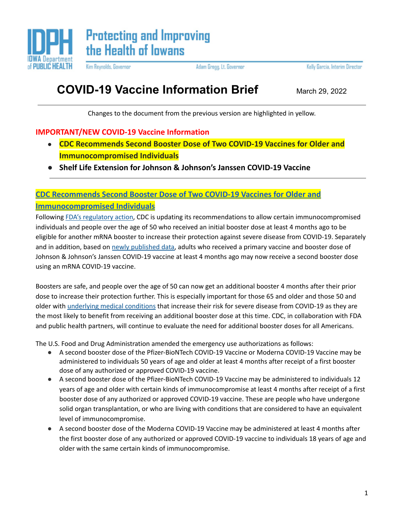

Kim Reynolds, Governor

Adam Gregg, Lt. Governor

Kelly Garcia, Interim Director

# **COVID-19 Vaccine Information Brief** March 29, 2022

Changes to the document from the previous version are highlighted in yellow.

## **IMPORTANT/NEW COVID-19 Vaccine Information**

- **CDC Recommends Second Booster Dose of Two COVID-19 Vaccines for Older and Immunocompromised Individuals**
- **● Shelf Life Extension for Johnson & Johnson's Janssen COVID-19 Vaccine**

# **CDC [Recommends](https://www.cdc.gov/media/releases/2022/s0328-covid-19-boosters.html) Second Booster Dose of Two COVID-19 Vaccines for Older and [Immunocompromised](https://www.cdc.gov/media/releases/2022/s0328-covid-19-boosters.html) Individuals**

Following FDA's [regulatory](https://www.fda.gov/news-events/press-announcements/coronavirus-covid-19-update-fda-authorizes-second-booster-dose-two-covid-19-vaccines-older-and) action, CDC is updating its recommendations to allow certain immunocompromised individuals and people over the age of 50 who received an initial booster dose at least 4 months ago to be eligible for another mRNA booster to increase their protection against severe disease from COVID-19. Separately and in addition, based on newly [published](https://www.cdc.gov/mmwr/volumes/71/wr/mm7113e2.htm?s_cid=mm7113e2_w) data, adults who received a primary vaccine and booster dose of Johnson & Johnson's Janssen COVID-19 vaccine at least 4 months ago may now receive a second booster dose using an mRNA COVID-19 vaccine.

Boosters are safe, and people over the age of 50 can now get an additional booster 4 months after their prior dose to increase their protection further. This is especially important for those 65 and older and those 50 and older with [underlying](https://www.cdc.gov/coronavirus/2019-ncov/need-extra-precautions/people-with-medical-conditions.html) medical conditions that increase their risk for severe disease from COVID-19 as they are the most likely to benefit from receiving an additional booster dose at this time. CDC, in collaboration with FDA and public health partners, will continue to evaluate the need for additional booster doses for all Americans.

The U.S. Food and Drug Administration amended the emergency use authorizations as follows:

- A second booster dose of the Pfizer-BioNTech COVID-19 Vaccine or Moderna COVID-19 Vaccine may be administered to individuals 50 years of age and older at least 4 months after receipt of a first booster dose of any authorized or approved COVID-19 vaccine.
- A second booster dose of the Pfizer-BioNTech COVID-19 Vaccine may be administered to individuals 12 years of age and older with certain kinds of immunocompromise at least 4 months after receipt of a first booster dose of any authorized or approved COVID-19 vaccine. These are people who have undergone solid organ transplantation, or who are living with conditions that are considered to have an equivalent level of immunocompromise.
- A second booster dose of the Moderna COVID-19 Vaccine may be administered at least 4 months after the first booster dose of any authorized or approved COVID-19 vaccine to individuals 18 years of age and older with the same certain kinds of immunocompromise.